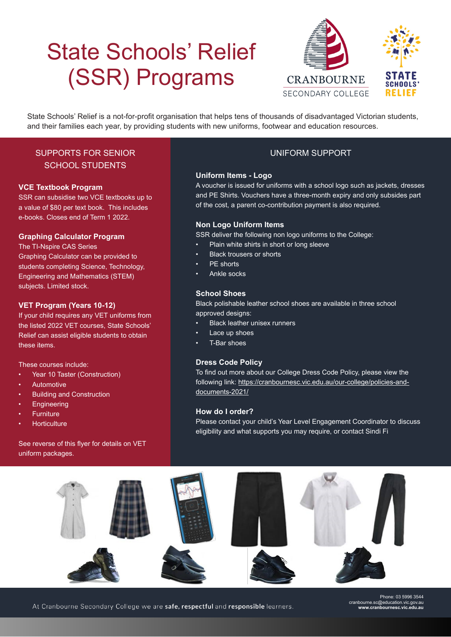# State Schools' Relief (SSR) Programs



State Schools' Relief is a not-for-profit organisation that helps tens of thousands of disadvantaged Victorian students, and their families each year, by providing students with new uniforms, footwear and education resources.

### SUPPORTS FOR SENIOR SCHOOL STUDENTS

#### **VCE Textbook Program**

SSR can subsidise two VCE textbooks up to a value of \$80 per text book. This includes e-books. Closes end of Term 1 2022.

#### **Graphing Calculator Program**

The TI-Nspire CAS Series Graphing Calculator can be provided to students completing Science, Technology, Engineering and Mathematics (STEM) subjects. Limited stock.

#### **VET Program (Years 10-12)**

If your child requires any VET uniforms from the listed 2022 VET courses, State Schools' Relief can assist eligible students to obtain these items.

These courses include:

- Year 10 Taster (Construction)
- **Automotive**
- Building and Construction
- **Engineering**
- **Furniture**
- Horticulture

See reverse of this flyer for details on VET uniform packages.

### UNIFORM SUPPORT

#### **Uniform Items - Logo**

A voucher is issued for uniforms with a school logo such as jackets, dresses and PE Shirts. Vouchers have a three-month expiry and only subsides part of the cost, a parent co-contribution payment is also required.

#### **Non Logo Uniform Items**

SSR deliver the following non logo uniforms to the College:

- Plain white shirts in short or long sleeve
- Black trousers or shorts
- PF shorts
- Ankle socks

#### **School Shoes**

Black polishable leather school shoes are available in three school approved designs:

- Black leather unisex runners
- Lace up shoes
- T-Bar shoes

#### **Dress Code Policy**

To find out more about our College Dress Code Policy, please view the following link: https://cranbournesc.vic.edu.au/our-college/policies-anddocuments-2021/

#### **How do I order?**

Please contact your child's Year Level Engagement Coordinator to discuss eligibility and what supports you may require, or contact Sindi Fi



At Cranbourne Secondary College we are safe, respectful and responsible learners.

Phone: 03 5996 3544 cranbourne.sc@education.vic.gov.au **www.cranbournesc.vic.edu.au**